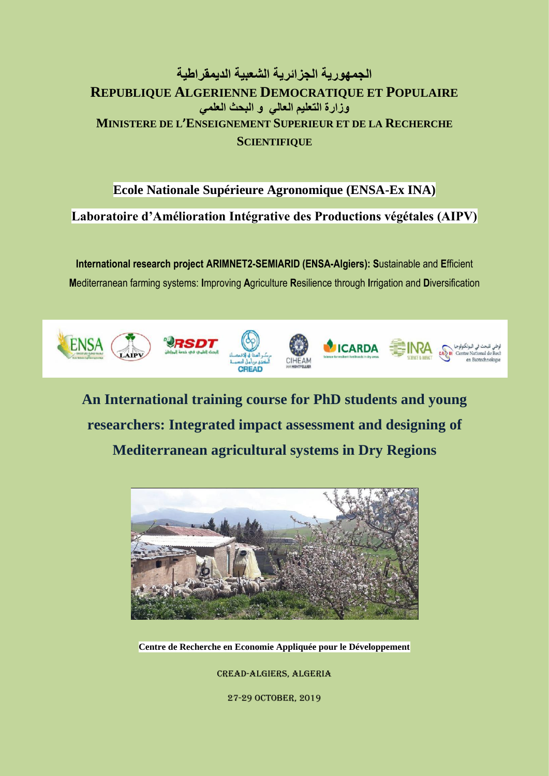# **الجمھوریة الجزائریة الشعبیة الدیمقراطیة REPUBLIQUE ALGERIENNE DEMOCRATIQUE ET POPULAIRE وزارة التعلیم العالي و البحث العلمي MINISTERE DE L'ENSEIGNEMENT SUPERIEUR ET DE LA RECHERCHE SCIENTIFIQUE**

# **Ecole Nationale Supérieure Agronomique (ENSA-Ex INA)**

**Laboratoire d'Amélioration Intégrative des Productions végétales (AIPV)**

**International research project ARIMNET2-SEMIARID (ENSA-Algiers): S**ustainable and **E**fficient **M**editerranean farming systems: **I**mproving **A**griculture **R**esilience through **I**rrigation and **D**iversification



**An International training course for PhD students and young researchers: Integrated impact assessment and designing of Mediterranean agricultural systems in Dry Regions**



**Centre de Recherche en Economie Appliquée pour le Développement**

CREAD-Algiers, Algeria

27-29 OCTOBER, 2019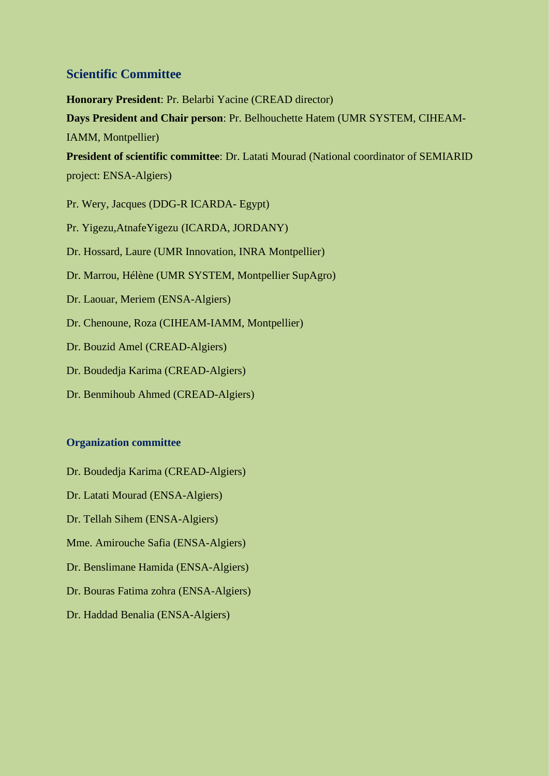## **Scientific Committee**

**Honorary President**: Pr. Belarbi Yacine (CREAD director)

**Days President and Chair person**: Pr. Belhouchette Hatem (UMR SYSTEM, CIHEAM-IAMM, Montpellier)

**President of scientific committee**: Dr. Latati Mourad (National coordinator of SEMIARID project: ENSA-Algiers)

Pr. Wery, Jacques (DDG-R ICARDA- Egypt)

Pr. Yigezu,AtnafeYigezu (ICARDA, JORDANY)

Dr. Hossard, Laure (UMR Innovation, INRA Montpellier)

- Dr. Marrou, Hélène (UMR SYSTEM, Montpellier SupAgro)
- Dr. Laouar, Meriem (ENSA-Algiers)
- Dr. Chenoune, Roza (CIHEAM-IAMM, Montpellier)
- Dr. Bouzid Amel (CREAD-Algiers)
- Dr. Boudedja Karima (CREAD-Algiers)
- Dr. Benmihoub Ahmed (CREAD-Algiers)

### **Organization committee**

- Dr. Boudedja Karima (CREAD-Algiers)
- Dr. Latati Mourad (ENSA-Algiers)
- Dr. Tellah Sihem (ENSA-Algiers)
- Mme. Amirouche Safia (ENSA-Algiers)
- Dr. Benslimane Hamida (ENSA-Algiers)
- Dr. Bouras Fatima zohra (ENSA-Algiers)
- Dr. Haddad Benalia (ENSA-Algiers)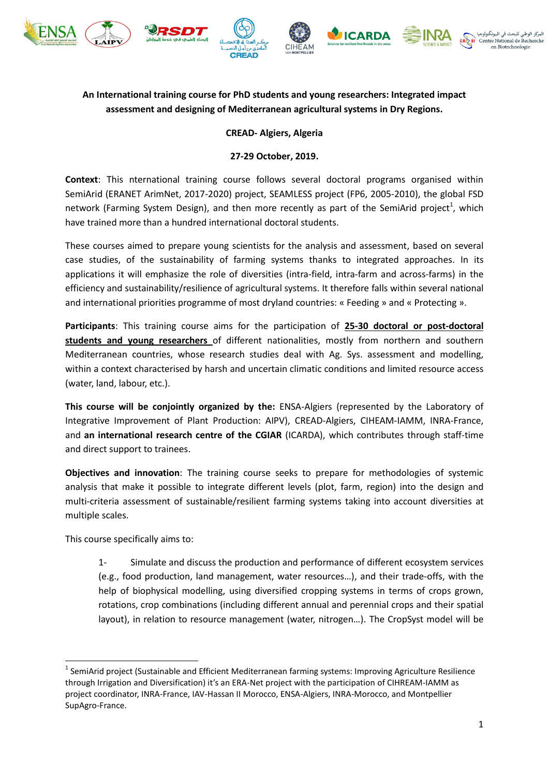











## **An International training course for PhD students and young researchers: Integrated impact assessment and designing of Mediterranean agricultural systems in Dry Regions.**

## **CREAD- Algiers, Algeria**

## **27-29 October, 2019.**

**Context**: This nternational training course follows several doctoral programs organised within SemiArid (ERANET ArimNet, 2017-2020) project, SEAMLESS project (FP6, 2005-2010), the global FSD network (Farming System Design), and then more recently as part of the SemiArid project<sup>1</sup>, which have trained more than a hundred international doctoral students.

These courses aimed to prepare young scientists for the analysis and assessment, based on several case studies, of the sustainability of farming systems thanks to integrated approaches. In its applications it will emphasize the role of diversities (intra-field, intra-farm and across-farms) in the efficiency and sustainability/resilience of agricultural systems. It therefore falls within several national and international priorities programme of most dryland countries: « Feeding » and « Protecting ».

**Participants**: This training course aims for the participation of **25-30 doctoral or post-doctoral students and young researchers** of different nationalities, mostly from northern and southern Mediterranean countries, whose research studies deal with Ag. Sys. assessment and modelling, within a context characterised by harsh and uncertain climatic conditions and limited resource access (water, land, labour, etc.).

**This course will be conjointly organized by the:** ENSA-Algiers (represented by the Laboratory of Integrative Improvement of Plant Production: AIPV), CREAD-Algiers, CIHEAM-IAMM, INRA-France, and **an international research centre of the CGIAR** (ICARDA), which contributes through staff-time and direct support to trainees.

**Objectives and innovation**: The training course seeks to prepare for methodologies of systemic analysis that make it possible to integrate different levels (plot, farm, region) into the design and multi-criteria assessment of sustainable/resilient farming systems taking into account diversities at multiple scales.

This course specifically aims to:

1

1- Simulate and discuss the production and performance of different ecosystem services (e.g., food production, land management, water resources…), and their trade-offs, with the help of biophysical modelling, using diversified cropping systems in terms of crops grown, rotations, crop combinations (including different annual and perennial crops and their spatial layout), in relation to resource management (water, nitrogen…). The CropSyst model will be

 $<sup>1</sup>$  SemiArid project (Sustainable and Efficient Mediterranean farming systems: Improving Agriculture Resilience</sup> through Irrigation and Diversification) it's an ERA-Net project with the participation of CIHREAM-IAMM as project coordinator, INRA-France, IAV-Hassan II Morocco, ENSA-Algiers, INRA-Morocco, and Montpellier SupAgro-France.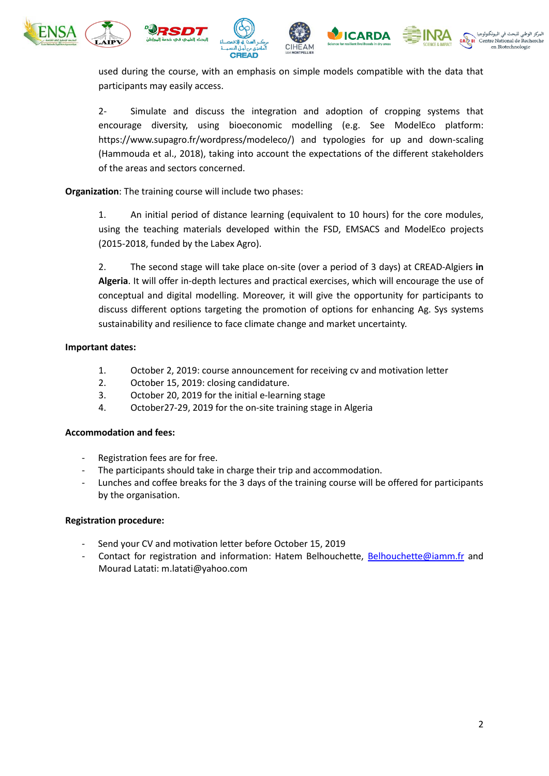







used during the course, with an emphasis on simple models compatible with the data that participants may easily access.

2- Simulate and discuss the integration and adoption of cropping systems that encourage diversity, using bioeconomic modelling (e.g. See ModelEco platform: https://www.supagro.fr/wordpress/modeleco/) and typologies for up and down-scaling (Hammouda et al., 2018), taking into account the expectations of the different stakeholders of the areas and sectors concerned.

**Organization**: The training course will include two phases:

1. An initial period of distance learning (equivalent to 10 hours) for the core modules, using the teaching materials developed within the FSD, EMSACS and ModelEco projects (2015-2018, funded by the Labex Agro).

2. The second stage will take place on-site (over a period of 3 days) at CREAD-Algiers **in Algeria**. It will offer in-depth lectures and practical exercises, which will encourage the use of conceptual and digital modelling. Moreover, it will give the opportunity for participants to discuss different options targeting the promotion of options for enhancing Ag. Sys systems sustainability and resilience to face climate change and market uncertainty.

## **Important dates:**

- 1. October 2, 2019: course announcement for receiving cv and motivation letter
- 2. October 15, 2019: closing candidature.
- 3. October 20, 2019 for the initial e-learning stage
- 4. October27-29, 2019 for the on-site training stage in Algeria

### **Accommodation and fees:**

- Registration fees are for free.
- The participants should take in charge their trip and accommodation.
- Lunches and coffee breaks for the 3 days of the training course will be offered for participants by the organisation.

### **Registration procedure:**

- Send your CV and motivation letter before October 15, 2019
- Contact for registration and information: Hatem Belhouchette, [Belhouchette@iamm.fr](mailto:Belhouchette@iamm.fr) and Mourad Latati: m.latati@yahoo.com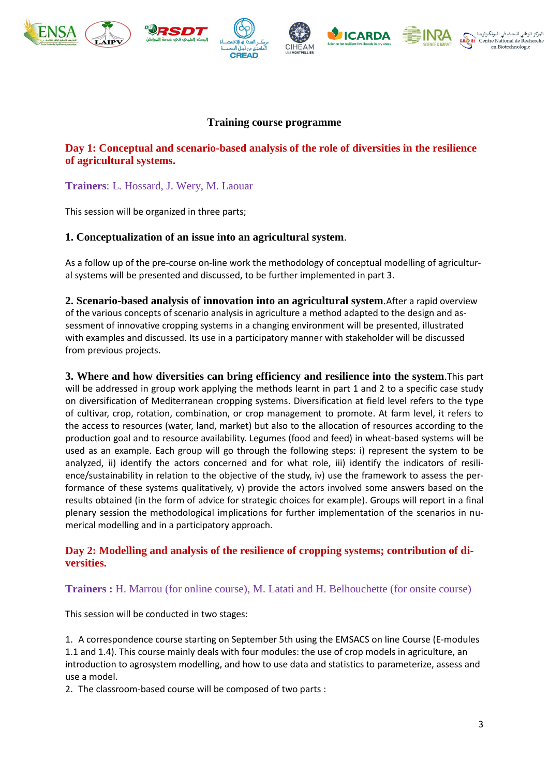











## **Training course programme**

## **Day 1: Conceptual and scenario-based analysis of the role of diversities in the resilience of agricultural systems.**

## **Trainers**: L. Hossard, J. Wery, M. Laouar

This session will be organized in three parts;

## **1. Conceptualization of an issue into an agricultural system**.

As a follow up of the pre-course on-line work the methodology of conceptual modelling of agricultural systems will be presented and discussed, to be further implemented in part 3.

**2. Scenario-based analysis of innovation into an agricultural system**.After a rapid overview of the various concepts of scenario analysis in agriculture a method adapted to the design and assessment of innovative cropping systems in a changing environment will be presented, illustrated with examples and discussed. Its use in a participatory manner with stakeholder will be discussed from previous projects.

**3. Where and how diversities can bring efficiency and resilience into the system**.This part will be addressed in group work applying the methods learnt in part 1 and 2 to a specific case study on diversification of Mediterranean cropping systems. Diversification at field level refers to the type of cultivar, crop, rotation, combination, or crop management to promote. At farm level, it refers to the access to resources (water, land, market) but also to the allocation of resources according to the production goal and to resource availability. Legumes (food and feed) in wheat-based systems will be used as an example. Each group will go through the following steps: i) represent the system to be analyzed, ii) identify the actors concerned and for what role, iii) identify the indicators of resilience/sustainability in relation to the objective of the study, iv) use the framework to assess the performance of these systems qualitatively, v) provide the actors involved some answers based on the results obtained (in the form of advice for strategic choices for example). Groups will report in a final plenary session the methodological implications for further implementation of the scenarios in numerical modelling and in a participatory approach.

## **Day 2: Modelling and analysis of the resilience of cropping systems; contribution of diversities.**

## **Trainers :** H. Marrou (for online course), M. Latati and H. Belhouchette (for onsite course)

This session will be conducted in two stages:

1. A correspondence course starting on September 5th using the EMSACS on line Course (E-modules 1.1 and 1.4). This course mainly deals with four modules: the use of crop models in agriculture, an introduction to agrosystem modelling, and how to use data and statistics to parameterize, assess and use a model.

2. The classroom-based course will be composed of two parts :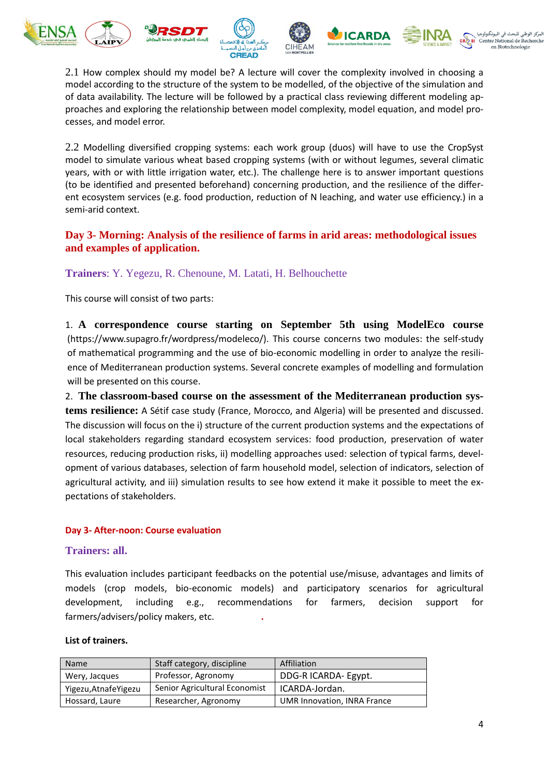









2.1 How complex should my model be? A lecture will cover the complexity involved in choosing a model according to the structure of the system to be modelled, of the objective of the simulation and of data availability. The lecture will be followed by a practical class reviewing different modeling approaches and exploring the relationship between model complexity, model equation, and model processes, and model error.

2.2 Modelling diversified cropping systems: each work group (duos) will have to use the CropSyst model to simulate various wheat based cropping systems (with or without legumes, several climatic years, with or with little irrigation water, etc.). The challenge here is to answer important questions (to be identified and presented beforehand) concerning production, and the resilience of the different ecosystem services (e.g. food production, reduction of N leaching, and water use efficiency.) in a semi-arid context.

## **Day 3- Morning: Analysis of the resilience of farms in arid areas: methodological issues and examples of application.**

**Trainers**: Y. Yegezu, R. Chenoune, M. Latati, H. Belhouchette

This course will consist of two parts:

1. **A correspondence course starting on September 5th using ModelEco course** [\(https://www.supagro.fr/wordpress/modeleco/\)](https://www.supagro.fr/wordpress/modeleco/). This course concerns two modules: the self-study of mathematical programming and the use of bio-economic modelling in order to analyze the resilience of Mediterranean production systems. Several concrete examples of modelling and formulation will be presented on this course.

2. **The classroom-based course on the assessment of the Mediterranean production systems resilience:** A Sétif case study (France, Morocco, and Algeria) will be presented and discussed. The discussion will focus on the i) structure of the current production systems and the expectations of local stakeholders regarding standard ecosystem services: food production, preservation of water resources, reducing production risks, ii) modelling approaches used: selection of typical farms, development of various databases, selection of farm household model, selection of indicators, selection of agricultural activity, and iii) simulation results to see how extend it make it possible to meet the expectations of stakeholders.

### **Day 3- After-noon: Course evaluation**

### **Trainers: all.**

This evaluation includes participant feedbacks on the potential use/misuse, advantages and limits of models (crop models, bio-economic models) and participatory scenarios for agricultural development, including e.g., recommendations for farmers, decision support for farmers/advisers/policy makers, etc. **.** 

#### **List of trainers.**

| <b>Name</b>           | Staff category, discipline    | Affiliation                 |
|-----------------------|-------------------------------|-----------------------------|
| Wery, Jacques         | Professor, Agronomy           | DDG-R ICARDA- Egypt.        |
| Yigezu, Atnafe Yigezu | Senior Agricultural Economist | ICARDA-Jordan.              |
| Hossard, Laure        | Researcher, Agronomy          | UMR Innovation, INRA France |